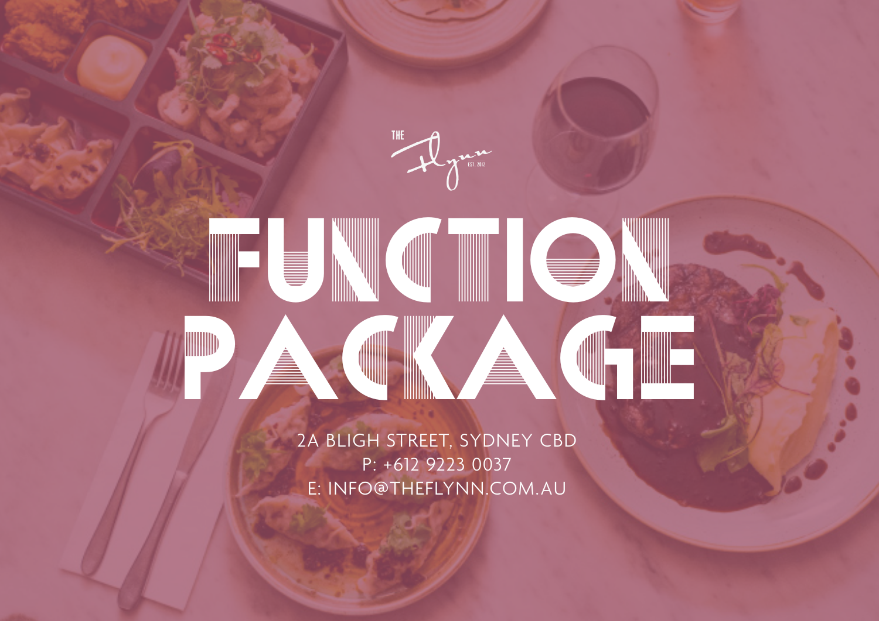**THE** 

# FUNCTION PACKAGE

2A BLIGH STREET, SYDNEY CBD P: +612 9223 0037 E: INFO@THEFLYNN.COM.AU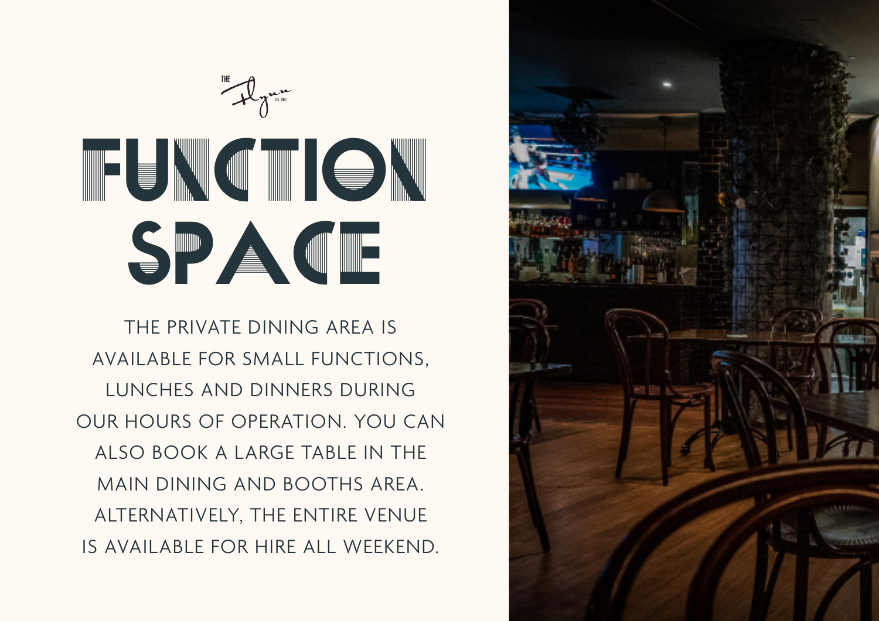

THE PRIVATE DINING AREA IS AVAILABLE FOR SMALL FUNCTIONS, LUNCHES AND DINNERS DURING OUR HOURS OF OPERATION. YOU CAN ALSO BOOK A LARGE TABLE IN THE MAIN DINING AND BOOTHS AREA. ALTERNATIVELY, THE ENTIRE VENUE IS AVAILABLE FOR HIRE ALL WEEKEND.

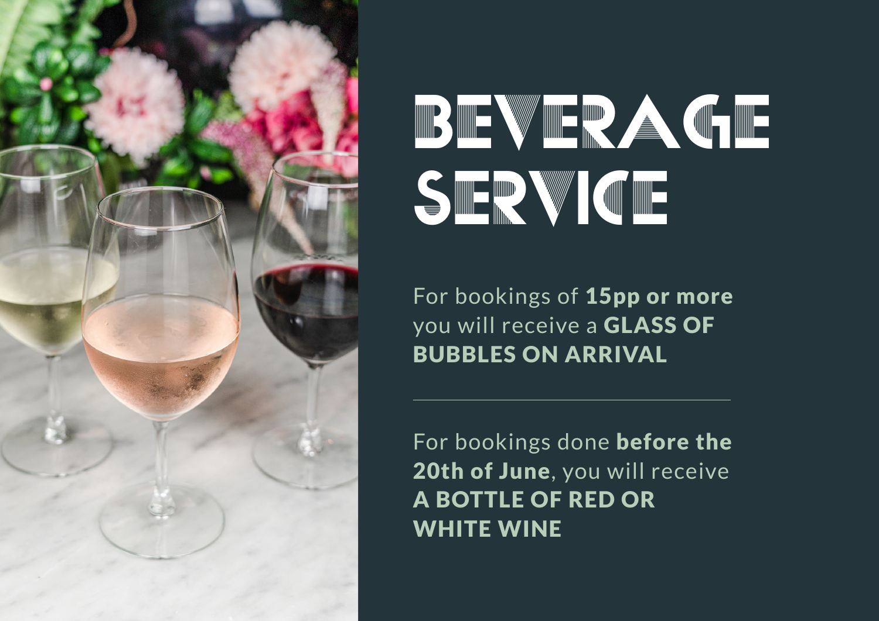

# BEVERAGE SERVICE

For bookings of 15pp or more you will receive a GLASS OF BUBBLES ON ARRIVAL

For bookings done before the 20th of June, you will receive A BOTTLE OF RED OR WHITE WINE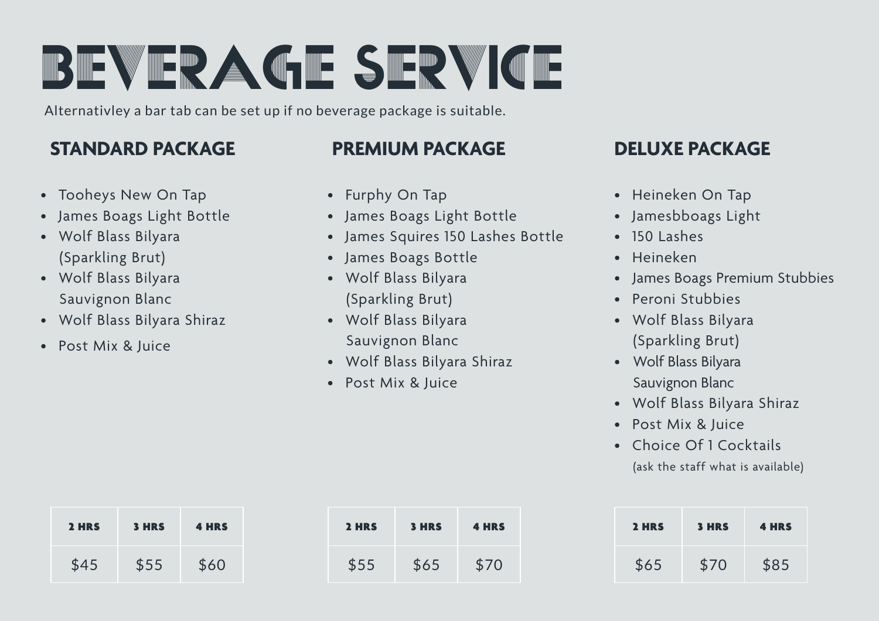# BEVERAGE SERVICE

Alternativley a bar tab can be set up if no beverage package is suitable.

# **STANDARD PACKAGE**

- Tooheys New On Tap
- James Boags Light Bottle
- Wolf Blass Bilyara (Sparkling Brut)
- Wolf Blass Bilyara Sauvignon Blanc
- Wolf Blass Bilyara Shiraz
- Post Mix & Juice

### **PREMIUM PACKAGE**

- Furphy On Tap
- James Boags Light Bottle
- James Squires 150 Lashes Bottle
- James Boags Bottle
- Wolf Blass Bilyara (Sparkling Brut)
- Wolf Blass Bilyara Sauvignon Blanc
- Wolf Blass Bilyara Shiraz
- Post Mix & Juice

# **DELUXE PACKAGE**

- Heineken On Tap
- Jamesbboags Light
- $\cdot$  150 Lashes
- Heineken
- James Boags Premium Stubbies
- Peroni Stubbies
- Wolf Blass Bilyara (Sparkling Brut)
- Wolf Blass Bilyara Sauvignon Blanc
- Wolf Blass Bilyara Shiraz
- Post Mix & Juice
- Choice Of 1 Cocktails (ask the staff what is available)

| 2 HRS | <b>3 HRS</b> | <b>4 HRS</b> |
|-------|--------------|--------------|
| \$45  | \$55         | \$60         |

| 2 HRS | <b>3 HRS</b> | <b>4 HRS</b> |
|-------|--------------|--------------|
| \$55  | \$65         | \$70         |

| 2 HRS | <b>3 HRS</b> | <b>4 HRS</b> |
|-------|--------------|--------------|
| \$65  | \$70         | \$85         |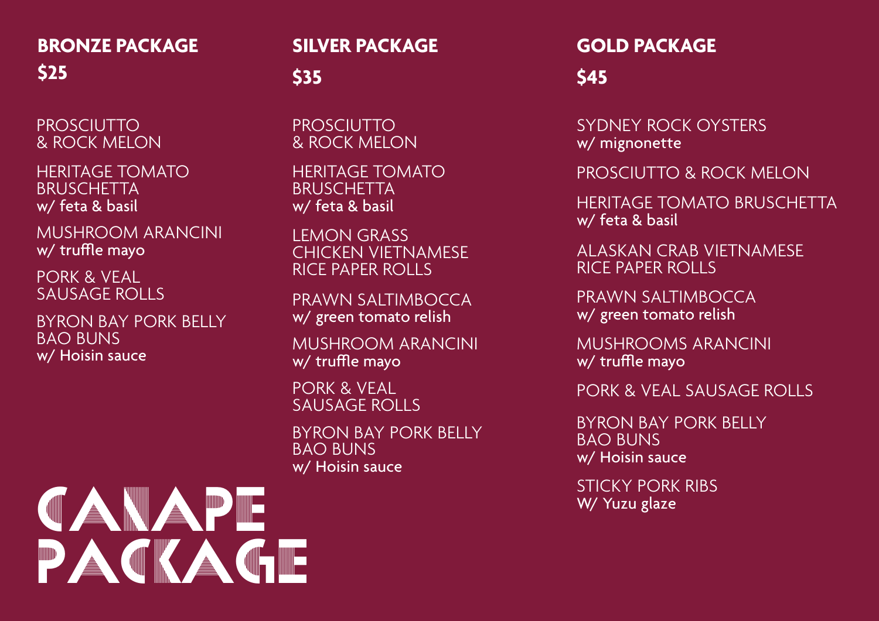# **BRONZE PACKAGE \$25**

PROSCIUTTO & ROCK MELON

HERITAGE TOMATO **BRUSCHETTA** w/ feta & basil

MUSHROOM ARANCINI w/ truffle mayo

PORK & VEAL SAUSAGE ROLLS

BYRON BAY PORK BELLY BAO BUNS w/ Hoisin sauce

### **SILVER PACKAGE**

# **\$35**

PROSCIUTTO & ROCK MELON

HERITAGE TOMATO BRUSCHETTA w/ feta & basil

LEMON GRASS CHICKEN VIETNAMESE RICE PAPER ROLLS

PRAWN SALTIMBOCCA w/ green tomato relish

MUSHROOM ARANCINI w/ truffle mayo

PORK & VEAL SAUSAGE ROLLS

BYRON BAY PORK BELLY BAO BUNS w/ Hoisin sauce

# **GOLD PACKAGE**

**\$45**

SYDNEY ROCK OYSTERS w/ mignonette

PROSCIUTTO & ROCK MELON

HERITAGE TOMATO BRUSCHETTA w/ feta & basil

ALASKAN CRAB VIETNAMESE RICE PAPER ROLLS

PRAWN SALTIMBOCCA w/ green tomato relish

MUSHROOMS ARANCINI w/ truffle mayo

PORK & VEAL SAUSAGE ROLLS

BYRON BAY PORK BELLY BAO BUNS w/ Hoisin sauce

STICKY PORK RIBS W/ Yuzu glaze